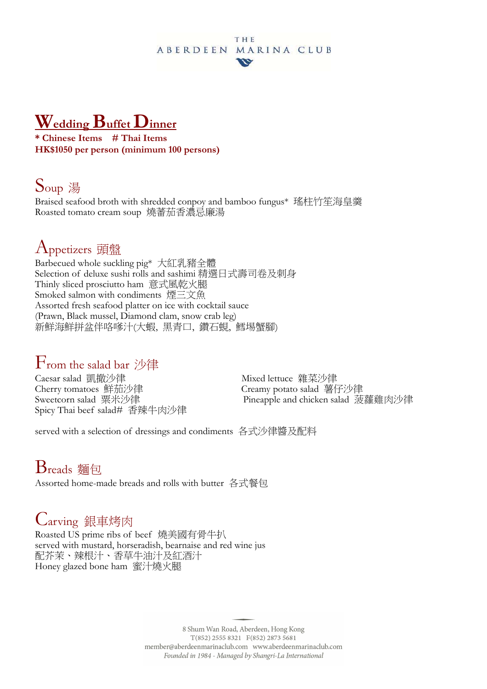#### **THE** ABERDEEN MARINA CLUB w

# **Wedding Buffet Dinner**

**\* Chinese Items # Thai Items HK\$1050 per person (minimum 100 persons)** 

#### Soup <sup>湯</sup>

Braised seafood broth with shredded conpoy and bamboo fungus\* 瑤柱竹笙海皇羹 Roasted tomato cream soup 燒蕃茄香濃忌廉湯

### Appetizers 頭盤

Barbecued whole suckling pig\* 大紅乳豬全體 Selection of deluxe sushi rolls and sashimi 精選日式壽司卷及刺身 Thinly sliced prosciutto ham 意式風乾火腿 Smoked salmon with condiments 煙三文魚 Assorted fresh seafood platter on ice with cocktail sauce (Prawn, Black mussel, Diamond clam, snow crab leg) 新鮮海鮮拼盆伴咯嗲汁(大蝦, 黑青口, 鑽石蜆, 鱈埸蟹腳)

#### $\rm{F}_{\rm{rom}}$  the salad bar 沙律

Caesar salad 凱撤沙律 Mixed lettuce 雜菜沙律<br>Cherry tomatoes 鮮茄沙律 Creamy potato salad 薯f Spicy Thai beef salad# 香辣牛肉沙律

Creamy potato salad 薯仔沙律 Sweetcorn salad 粟米沙律 Pineapple and chicken salad 菠蘿雞肉沙律

served with a selection of dressings and condiments 各式沙律醬及配料

# Breads 麵包

Assorted home-made breads and rolls with butter 各式餐包

## Carving 銀車烤肉

Roasted US prime ribs of beef 燒美國有骨牛扒 served with mustard, horseradish, bearnaise and red wine jus 配芥茉、辣根汁、香草牛油汁及紅酒汁 Honey glazed bone ham 蜜汁燒火腿

> 8 Shum Wan Road, Aberdeen, Hong Kong  $T(852)$  2555 8321  $F(852)$  2873 5681 member@aberdeenmarinaclub.com www.aberdeenmarinaclub.com Founded in 1984 - Managed by Shangri-La International